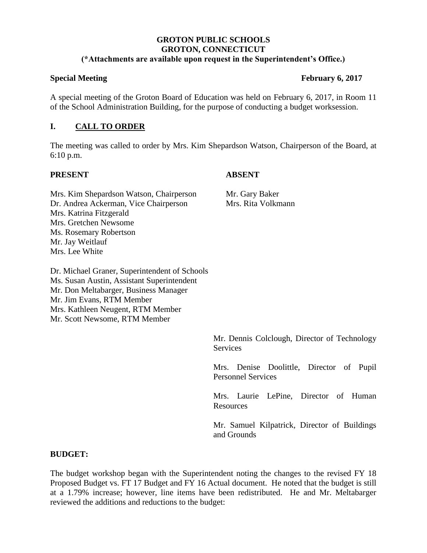### **GROTON PUBLIC SCHOOLS GROTON, CONNECTICUT (\*Attachments are available upon request in the Superintendent's Office.)**

### **Special Meeting February 6, 2017**

A special meeting of the Groton Board of Education was held on February 6, 2017, in Room 11 of the School Administration Building, for the purpose of conducting a budget worksession.

# **I. CALL TO ORDER**

The meeting was called to order by Mrs. Kim Shepardson Watson, Chairperson of the Board, at 6:10 p.m.

## **PRESENT ABSENT**

Mrs. Kim Shepardson Watson, Chairperson Mr. Gary Baker Dr. Andrea Ackerman, Vice Chairperson Mrs. Rita Volkmann Mrs. Katrina Fitzgerald Mrs. Gretchen Newsome Ms. Rosemary Robertson Mr. Jay Weitlauf Mrs. Lee White

Dr. Michael Graner, Superintendent of Schools Ms. Susan Austin, Assistant Superintendent Mr. Don Meltabarger, Business Manager Mr. Jim Evans, RTM Member Mrs. Kathleen Neugent, RTM Member Mr. Scott Newsome, RTM Member

> Mr. Dennis Colclough, Director of Technology **Services**

> Mrs. Denise Doolittle, Director of Pupil Personnel Services

> Mrs. Laurie LePine, Director of Human **Resources**

> Mr. Samuel Kilpatrick, Director of Buildings and Grounds

## **BUDGET:**

The budget workshop began with the Superintendent noting the changes to the revised FY 18 Proposed Budget vs. FT 17 Budget and FY 16 Actual document. He noted that the budget is still at a 1.79% increase; however, line items have been redistributed. He and Mr. Meltabarger reviewed the additions and reductions to the budget: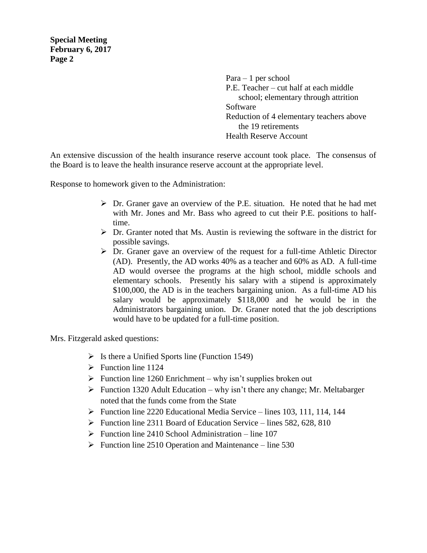**Special Meeting February 6, 2017 Page 2**

> Para – 1 per school P.E. Teacher – cut half at each middle school; elementary through attrition Software Reduction of 4 elementary teachers above the 19 retirements Health Reserve Account

An extensive discussion of the health insurance reserve account took place. The consensus of the Board is to leave the health insurance reserve account at the appropriate level.

Response to homework given to the Administration:

- $\triangleright$  Dr. Graner gave an overview of the P.E. situation. He noted that he had met with Mr. Jones and Mr. Bass who agreed to cut their P.E. positions to halftime.
- $\triangleright$  Dr. Granter noted that Ms. Austin is reviewing the software in the district for possible savings.
- $\triangleright$  Dr. Graner gave an overview of the request for a full-time Athletic Director (AD). Presently, the AD works 40% as a teacher and 60% as AD. A full-time AD would oversee the programs at the high school, middle schools and elementary schools. Presently his salary with a stipend is approximately \$100,000, the AD is in the teachers bargaining union. As a full-time AD his salary would be approximately \$118,000 and he would be in the Administrators bargaining union. Dr. Graner noted that the job descriptions would have to be updated for a full-time position.

Mrs. Fitzgerald asked questions:

- $\triangleright$  Is there a Unified Sports line (Function 1549)
- $\triangleright$  Function line 1124
- $\triangleright$  Function line 1260 Enrichment why isn't supplies broken out
- $\triangleright$  Function 1320 Adult Education why isn't there any change; Mr. Meltabarger noted that the funds come from the State
- Function line 2220 Educational Media Service lines 103, 111, 114, 144
- $\triangleright$  Function line 2311 Board of Education Service lines 582, 628, 810
- $\triangleright$  Function line 2410 School Administration line 107
- $\triangleright$  Function line 2510 Operation and Maintenance line 530